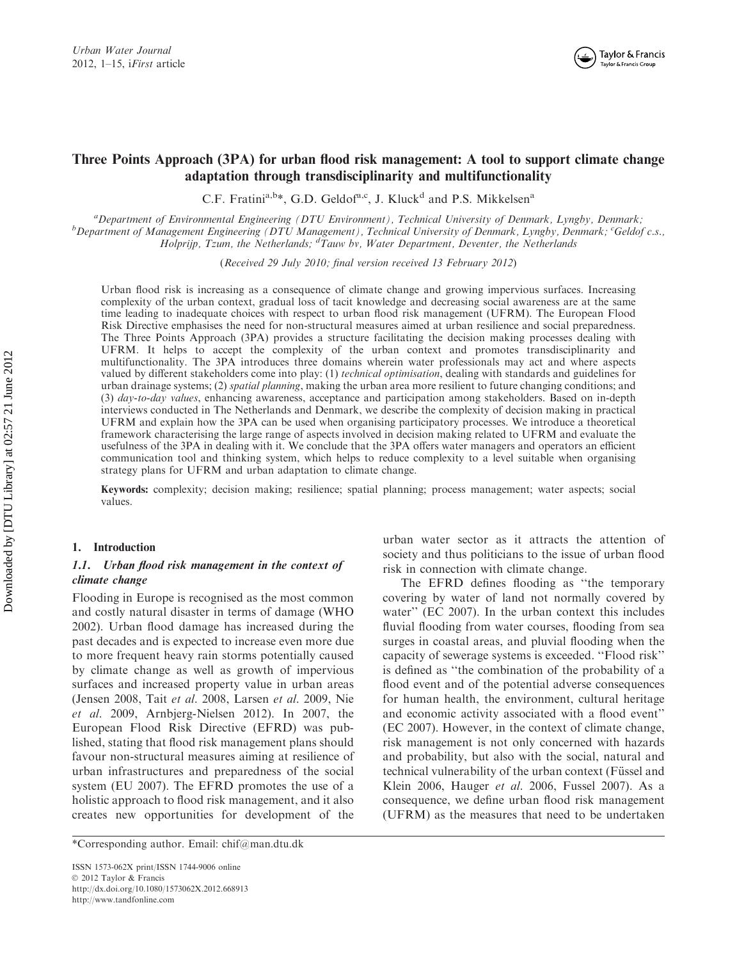

# Three Points Approach (3PA) for urban flood risk management: A tool to support climate change adaptation through transdisciplinarity and multifunctionality

C.F. Fratini<sup>a,b\*</sup>, G.D. Geldof<sup>a,c</sup>, J. Kluck<sup>d</sup> and P.S. Mikkelsen<sup>a</sup>

<sup>a</sup> Department of Environmental Engineering (DTU Environment), Technical University of Denmark, Lyngby, Denmark; <sup>b</sup><br>b Department of Managament Engineering (DTU Managament), Technical University of Denmark, Lyngby, Denmark Department of Management Engineering (DTU Management), Technical University of Denmark, Lyngby, Denmark; <sup>c</sup>Geldof c.s., Holprijp, Tzum, the Netherlands;  ${}^d$ Tauw bv, Water Department, Deventer, the Netherlands

(Received 29 July 2010; final version received 13 February 2012)

Urban flood risk is increasing as a consequence of climate change and growing impervious surfaces. Increasing complexity of the urban context, gradual loss of tacit knowledge and decreasing social awareness are at the same time leading to inadequate choices with respect to urban flood risk management (UFRM). The European Flood Risk Directive emphasises the need for non-structural measures aimed at urban resilience and social preparedness. The Three Points Approach (3PA) provides a structure facilitating the decision making processes dealing with UFRM. It helps to accept the complexity of the urban context and promotes transdisciplinarity and multifunctionality. The 3PA introduces three domains wherein water professionals may act and where aspects valued by different stakeholders come into play: (1) technical optimisation, dealing with standards and guidelines for urban drainage systems; (2) spatial planning, making the urban area more resilient to future changing conditions; and (3) day-to-day values, enhancing awareness, acceptance and participation among stakeholders. Based on in-depth interviews conducted in The Netherlands and Denmark, we describe the complexity of decision making in practical UFRM and explain how the 3PA can be used when organising participatory processes. We introduce a theoretical framework characterising the large range of aspects involved in decision making related to UFRM and evaluate the usefulness of the 3PA in dealing with it. We conclude that the 3PA offers water managers and operators an efficient communication tool and thinking system, which helps to reduce complexity to a level suitable when organising strategy plans for UFRM and urban adaptation to climate change.

Keywords: complexity; decision making; resilience; spatial planning; process management; water aspects; social values.

### 1. Introduction

## 1.1. Urban flood risk management in the context of climate change

Flooding in Europe is recognised as the most common and costly natural disaster in terms of damage (WHO 2002). Urban flood damage has increased during the past decades and is expected to increase even more due to more frequent heavy rain storms potentially caused by climate change as well as growth of impervious surfaces and increased property value in urban areas (Jensen 2008, Tait et al. 2008, Larsen et al. 2009, Nie et al. 2009, Arnbjerg-Nielsen 2012). In 2007, the European Flood Risk Directive (EFRD) was published, stating that flood risk management plans should favour non-structural measures aiming at resilience of urban infrastructures and preparedness of the social system (EU 2007). The EFRD promotes the use of a holistic approach to flood risk management, and it also creates new opportunities for development of the

ISSN 1573-062X print/ISSN 1744-9006 online © 2012 Taylor & Francis http://dx.doi.org/10.1080/1573062X.2012.668913 http://www.tandfonline.com

urban water sector as it attracts the attention of society and thus politicians to the issue of urban flood risk in connection with climate change.

The EFRD defines flooding as ''the temporary covering by water of land not normally covered by water'' (EC 2007). In the urban context this includes fluvial flooding from water courses, flooding from sea surges in coastal areas, and pluvial flooding when the capacity of sewerage systems is exceeded. ''Flood risk'' is defined as ''the combination of the probability of a flood event and of the potential adverse consequences for human health, the environment, cultural heritage and economic activity associated with a flood event'' (EC 2007). However, in the context of climate change, risk management is not only concerned with hazards and probability, but also with the social, natural and technical vulnerability of the urban context (Füssel and Klein 2006, Hauger et al. 2006, Fussel 2007). As a consequence, we define urban flood risk management (UFRM) as the measures that need to be undertaken

<sup>\*</sup>Corresponding author. Email: chif@man.dtu.dk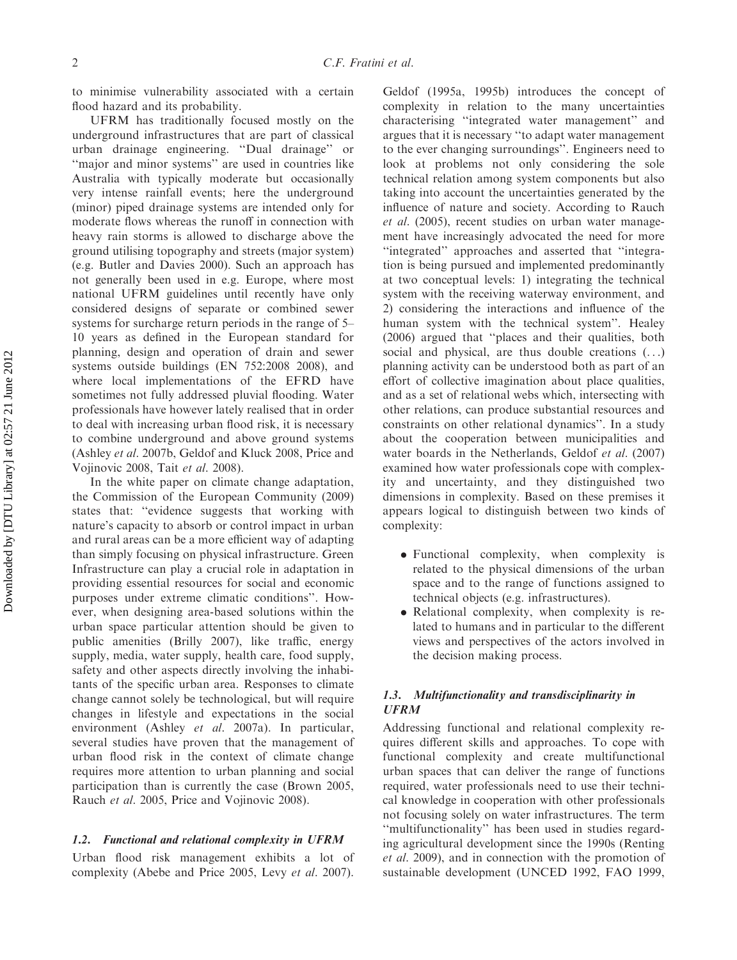to minimise vulnerability associated with a certain flood hazard and its probability.

UFRM has traditionally focused mostly on the underground infrastructures that are part of classical urban drainage engineering. ''Dual drainage'' or ''major and minor systems'' are used in countries like Australia with typically moderate but occasionally very intense rainfall events; here the underground (minor) piped drainage systems are intended only for moderate flows whereas the runoff in connection with heavy rain storms is allowed to discharge above the ground utilising topography and streets (major system) (e.g. Butler and Davies 2000). Such an approach has not generally been used in e.g. Europe, where most national UFRM guidelines until recently have only considered designs of separate or combined sewer systems for surcharge return periods in the range of 5– 10 years as defined in the European standard for planning, design and operation of drain and sewer systems outside buildings (EN 752:2008 2008), and where local implementations of the EFRD have sometimes not fully addressed pluvial flooding. Water professionals have however lately realised that in order to deal with increasing urban flood risk, it is necessary to combine underground and above ground systems (Ashley et al. 2007b, Geldof and Kluck 2008, Price and Vojinovic 2008, Tait et al. 2008).

In the white paper on climate change adaptation, the Commission of the European Community (2009) states that: ''evidence suggests that working with nature's capacity to absorb or control impact in urban and rural areas can be a more efficient way of adapting than simply focusing on physical infrastructure. Green Infrastructure can play a crucial role in adaptation in providing essential resources for social and economic purposes under extreme climatic conditions''. However, when designing area-based solutions within the urban space particular attention should be given to public amenities (Brilly 2007), like traffic, energy supply, media, water supply, health care, food supply, safety and other aspects directly involving the inhabitants of the specific urban area. Responses to climate change cannot solely be technological, but will require changes in lifestyle and expectations in the social environment (Ashley et al. 2007a). In particular, several studies have proven that the management of urban flood risk in the context of climate change requires more attention to urban planning and social participation than is currently the case (Brown 2005, Rauch et al. 2005, Price and Vojinovic 2008).

#### 1.2. Functional and relational complexity in UFRM

Urban flood risk management exhibits a lot of complexity (Abebe and Price 2005, Levy et al. 2007).

Geldof (1995a, 1995b) introduces the concept of complexity in relation to the many uncertainties characterising ''integrated water management'' and argues that it is necessary ''to adapt water management to the ever changing surroundings''. Engineers need to look at problems not only considering the sole technical relation among system components but also taking into account the uncertainties generated by the influence of nature and society. According to Rauch et al. (2005), recent studies on urban water management have increasingly advocated the need for more ''integrated'' approaches and asserted that ''integration is being pursued and implemented predominantly at two conceptual levels: 1) integrating the technical system with the receiving waterway environment, and 2) considering the interactions and influence of the human system with the technical system''. Healey (2006) argued that ''places and their qualities, both social and physical, are thus double creations  $(\ldots)$ planning activity can be understood both as part of an effort of collective imagination about place qualities, and as a set of relational webs which, intersecting with other relations, can produce substantial resources and constraints on other relational dynamics''. In a study about the cooperation between municipalities and water boards in the Netherlands, Geldof et al. (2007) examined how water professionals cope with complexity and uncertainty, and they distinguished two dimensions in complexity. Based on these premises it appears logical to distinguish between two kinds of complexity:

- . Functional complexity, when complexity is related to the physical dimensions of the urban space and to the range of functions assigned to technical objects (e.g. infrastructures).
- . Relational complexity, when complexity is related to humans and in particular to the different views and perspectives of the actors involved in the decision making process.

## 1.3. Multifunctionality and transdisciplinarity in UFRM

Addressing functional and relational complexity requires different skills and approaches. To cope with functional complexity and create multifunctional urban spaces that can deliver the range of functions required, water professionals need to use their technical knowledge in cooperation with other professionals not focusing solely on water infrastructures. The term ''multifunctionality'' has been used in studies regarding agricultural development since the 1990s (Renting et al. 2009), and in connection with the promotion of sustainable development (UNCED 1992, FAO 1999,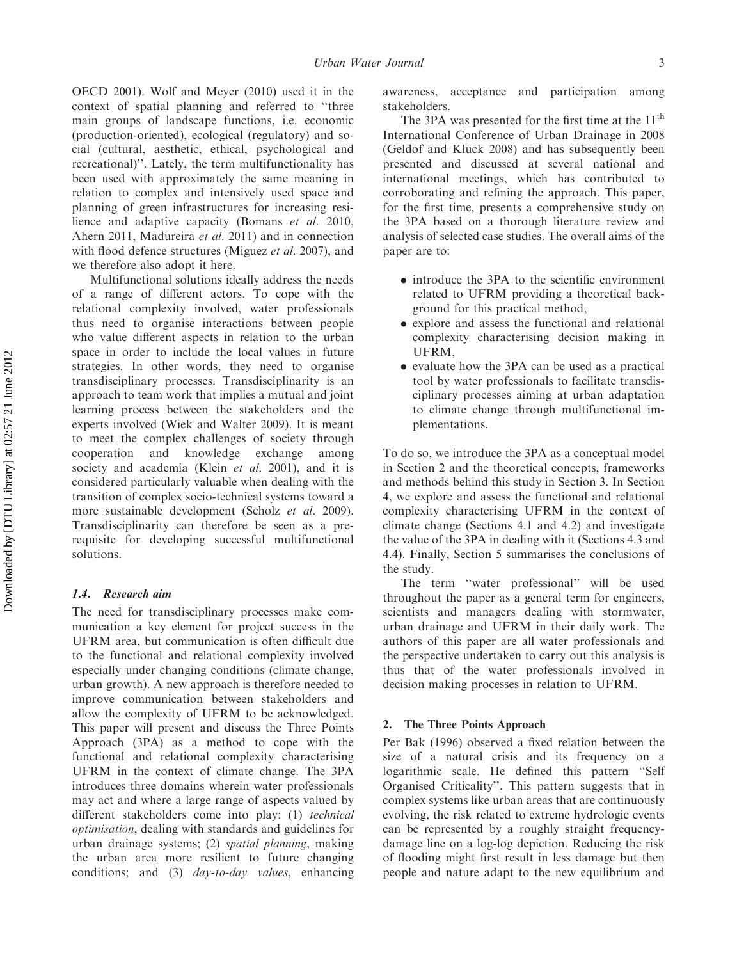OECD 2001). Wolf and Meyer (2010) used it in the context of spatial planning and referred to ''three main groups of landscape functions, i.e. economic (production-oriented), ecological (regulatory) and social (cultural, aesthetic, ethical, psychological and recreational)''. Lately, the term multifunctionality has been used with approximately the same meaning in relation to complex and intensively used space and planning of green infrastructures for increasing resilience and adaptive capacity (Bomans et al. 2010, Ahern 2011, Madureira et al. 2011) and in connection with flood defence structures (Miguez et al. 2007), and we therefore also adopt it here.

Multifunctional solutions ideally address the needs of a range of different actors. To cope with the relational complexity involved, water professionals thus need to organise interactions between people who value different aspects in relation to the urban space in order to include the local values in future strategies. In other words, they need to organise transdisciplinary processes. Transdisciplinarity is an approach to team work that implies a mutual and joint learning process between the stakeholders and the experts involved (Wiek and Walter 2009). It is meant to meet the complex challenges of society through cooperation and knowledge exchange among society and academia (Klein et al. 2001), and it is considered particularly valuable when dealing with the transition of complex socio-technical systems toward a more sustainable development (Scholz et al. 2009). Transdisciplinarity can therefore be seen as a prerequisite for developing successful multifunctional solutions.

#### 1.4. Research aim

The need for transdisciplinary processes make communication a key element for project success in the UFRM area, but communication is often difficult due to the functional and relational complexity involved especially under changing conditions (climate change, urban growth). A new approach is therefore needed to improve communication between stakeholders and allow the complexity of UFRM to be acknowledged. This paper will present and discuss the Three Points Approach (3PA) as a method to cope with the functional and relational complexity characterising UFRM in the context of climate change. The 3PA introduces three domains wherein water professionals may act and where a large range of aspects valued by different stakeholders come into play: (1) technical optimisation, dealing with standards and guidelines for urban drainage systems; (2) spatial planning, making the urban area more resilient to future changing conditions; and (3) day-to-day values, enhancing awareness, acceptance and participation among stakeholders.

The 3PA was presented for the first time at the  $11<sup>th</sup>$ International Conference of Urban Drainage in 2008 (Geldof and Kluck 2008) and has subsequently been presented and discussed at several national and international meetings, which has contributed to corroborating and refining the approach. This paper, for the first time, presents a comprehensive study on the 3PA based on a thorough literature review and analysis of selected case studies. The overall aims of the paper are to:

- . introduce the 3PA to the scientific environment related to UFRM providing a theoretical background for this practical method,
- . explore and assess the functional and relational complexity characterising decision making in UFRM,
- . evaluate how the 3PA can be used as a practical tool by water professionals to facilitate transdisciplinary processes aiming at urban adaptation to climate change through multifunctional implementations.

To do so, we introduce the 3PA as a conceptual model in Section 2 and the theoretical concepts, frameworks and methods behind this study in Section 3. In Section 4, we explore and assess the functional and relational complexity characterising UFRM in the context of climate change (Sections 4.1 and 4.2) and investigate the value of the 3PA in dealing with it (Sections 4.3 and 4.4). Finally, Section 5 summarises the conclusions of the study.

The term ''water professional'' will be used throughout the paper as a general term for engineers, scientists and managers dealing with stormwater, urban drainage and UFRM in their daily work. The authors of this paper are all water professionals and the perspective undertaken to carry out this analysis is thus that of the water professionals involved in decision making processes in relation to UFRM.

### 2. The Three Points Approach

Per Bak (1996) observed a fixed relation between the size of a natural crisis and its frequency on a logarithmic scale. He defined this pattern ''Self Organised Criticality''. This pattern suggests that in complex systems like urban areas that are continuously evolving, the risk related to extreme hydrologic events can be represented by a roughly straight frequencydamage line on a log-log depiction. Reducing the risk of flooding might first result in less damage but then people and nature adapt to the new equilibrium and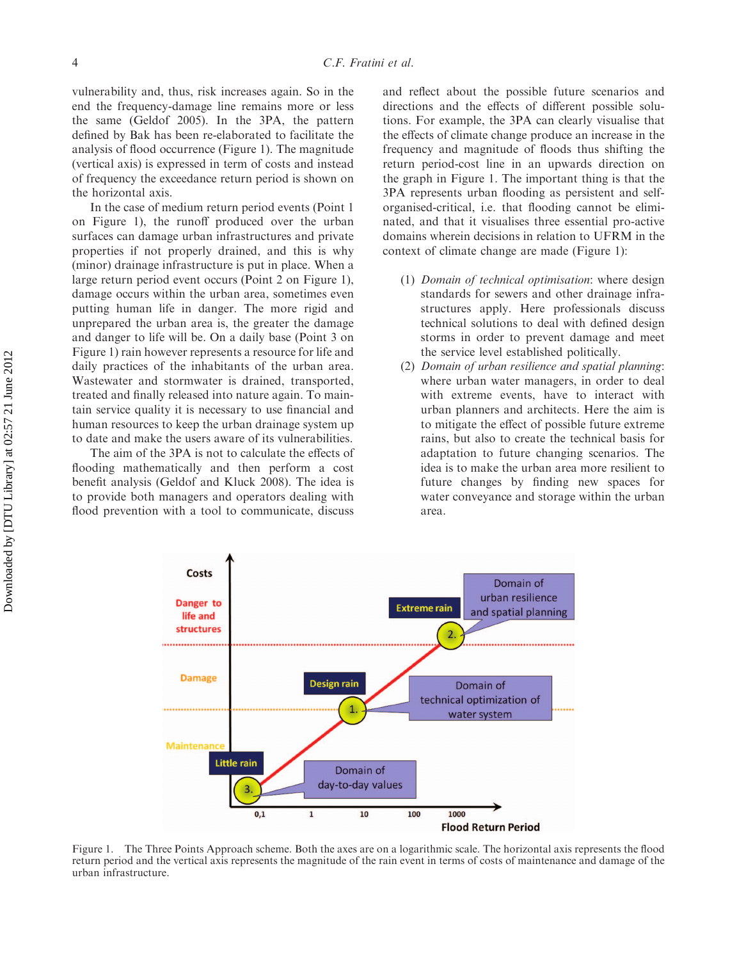vulnerability and, thus, risk increases again. So in the end the frequency-damage line remains more or less the same (Geldof 2005). In the 3PA, the pattern defined by Bak has been re-elaborated to facilitate the analysis of flood occurrence (Figure 1). The magnitude (vertical axis) is expressed in term of costs and instead of frequency the exceedance return period is shown on the horizontal axis.

In the case of medium return period events (Point 1 on Figure 1), the runoff produced over the urban surfaces can damage urban infrastructures and private properties if not properly drained, and this is why (minor) drainage infrastructure is put in place. When a large return period event occurs (Point 2 on Figure 1), damage occurs within the urban area, sometimes even putting human life in danger. The more rigid and unprepared the urban area is, the greater the damage and danger to life will be. On a daily base (Point 3 on Figure 1) rain however represents a resource for life and daily practices of the inhabitants of the urban area. Wastewater and stormwater is drained, transported, treated and finally released into nature again. To maintain service quality it is necessary to use financial and human resources to keep the urban drainage system up to date and make the users aware of its vulnerabilities.

The aim of the 3PA is not to calculate the effects of flooding mathematically and then perform a cost benefit analysis (Geldof and Kluck 2008). The idea is to provide both managers and operators dealing with flood prevention with a tool to communicate, discuss

and reflect about the possible future scenarios and directions and the effects of different possible solutions. For example, the 3PA can clearly visualise that the effects of climate change produce an increase in the frequency and magnitude of floods thus shifting the return period-cost line in an upwards direction on the graph in Figure 1. The important thing is that the 3PA represents urban flooding as persistent and selforganised-critical, i.e. that flooding cannot be eliminated, and that it visualises three essential pro-active domains wherein decisions in relation to UFRM in the context of climate change are made (Figure 1):

- (1) Domain of technical optimisation: where design standards for sewers and other drainage infrastructures apply. Here professionals discuss technical solutions to deal with defined design storms in order to prevent damage and meet the service level established politically.
- (2) Domain of urban resilience and spatial planning: where urban water managers, in order to deal with extreme events, have to interact with urban planners and architects. Here the aim is to mitigate the effect of possible future extreme rains, but also to create the technical basis for adaptation to future changing scenarios. The idea is to make the urban area more resilient to future changes by finding new spaces for water conveyance and storage within the urban area.



Figure 1. The Three Points Approach scheme. Both the axes are on a logarithmic scale. The horizontal axis represents the flood return period and the vertical axis represents the magnitude of the rain event in terms of costs of maintenance and damage of the urban infrastructure.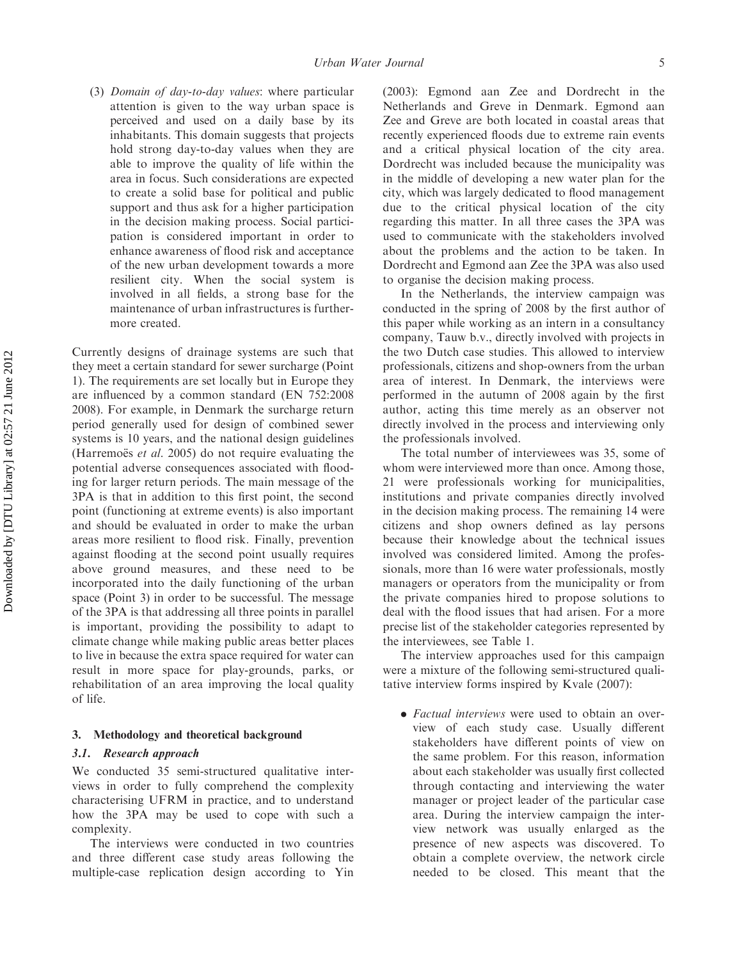(3) Domain of day-to-day values: where particular attention is given to the way urban space is perceived and used on a daily base by its inhabitants. This domain suggests that projects hold strong day-to-day values when they are able to improve the quality of life within the area in focus. Such considerations are expected to create a solid base for political and public support and thus ask for a higher participation in the decision making process. Social participation is considered important in order to enhance awareness of flood risk and acceptance of the new urban development towards a more resilient city. When the social system is involved in all fields, a strong base for the maintenance of urban infrastructures is furthermore created.

Currently designs of drainage systems are such that they meet a certain standard for sewer surcharge (Point 1). The requirements are set locally but in Europe they are influenced by a common standard (EN 752:2008 2008). For example, in Denmark the surcharge return period generally used for design of combined sewer systems is 10 years, and the national design guidelines (Harremoës *et al.* 2005) do not require evaluating the potential adverse consequences associated with flooding for larger return periods. The main message of the 3PA is that in addition to this first point, the second point (functioning at extreme events) is also important and should be evaluated in order to make the urban areas more resilient to flood risk. Finally, prevention against flooding at the second point usually requires above ground measures, and these need to be incorporated into the daily functioning of the urban space (Point 3) in order to be successful. The message of the 3PA is that addressing all three points in parallel is important, providing the possibility to adapt to climate change while making public areas better places to live in because the extra space required for water can result in more space for play-grounds, parks, or rehabilitation of an area improving the local quality of life.

### 3. Methodology and theoretical background

### 3.1. Research approach

We conducted 35 semi-structured qualitative interviews in order to fully comprehend the complexity characterising UFRM in practice, and to understand how the 3PA may be used to cope with such a complexity.

The interviews were conducted in two countries and three different case study areas following the multiple-case replication design according to Yin

(2003): Egmond aan Zee and Dordrecht in the Netherlands and Greve in Denmark. Egmond aan Zee and Greve are both located in coastal areas that recently experienced floods due to extreme rain events and a critical physical location of the city area. Dordrecht was included because the municipality was in the middle of developing a new water plan for the city, which was largely dedicated to flood management due to the critical physical location of the city regarding this matter. In all three cases the 3PA was used to communicate with the stakeholders involved about the problems and the action to be taken. In Dordrecht and Egmond aan Zee the 3PA was also used to organise the decision making process.

In the Netherlands, the interview campaign was conducted in the spring of 2008 by the first author of this paper while working as an intern in a consultancy company, Tauw b.v., directly involved with projects in the two Dutch case studies. This allowed to interview professionals, citizens and shop-owners from the urban area of interest. In Denmark, the interviews were performed in the autumn of 2008 again by the first author, acting this time merely as an observer not directly involved in the process and interviewing only the professionals involved.

The total number of interviewees was 35, some of whom were interviewed more than once. Among those, 21 were professionals working for municipalities, institutions and private companies directly involved in the decision making process. The remaining 14 were citizens and shop owners defined as lay persons because their knowledge about the technical issues involved was considered limited. Among the professionals, more than 16 were water professionals, mostly managers or operators from the municipality or from the private companies hired to propose solutions to deal with the flood issues that had arisen. For a more precise list of the stakeholder categories represented by the interviewees, see Table 1.

The interview approaches used for this campaign were a mixture of the following semi-structured qualitative interview forms inspired by Kvale (2007):

• Factual interviews were used to obtain an overview of each study case. Usually different stakeholders have different points of view on the same problem. For this reason, information about each stakeholder was usually first collected through contacting and interviewing the water manager or project leader of the particular case area. During the interview campaign the interview network was usually enlarged as the presence of new aspects was discovered. To obtain a complete overview, the network circle needed to be closed. This meant that the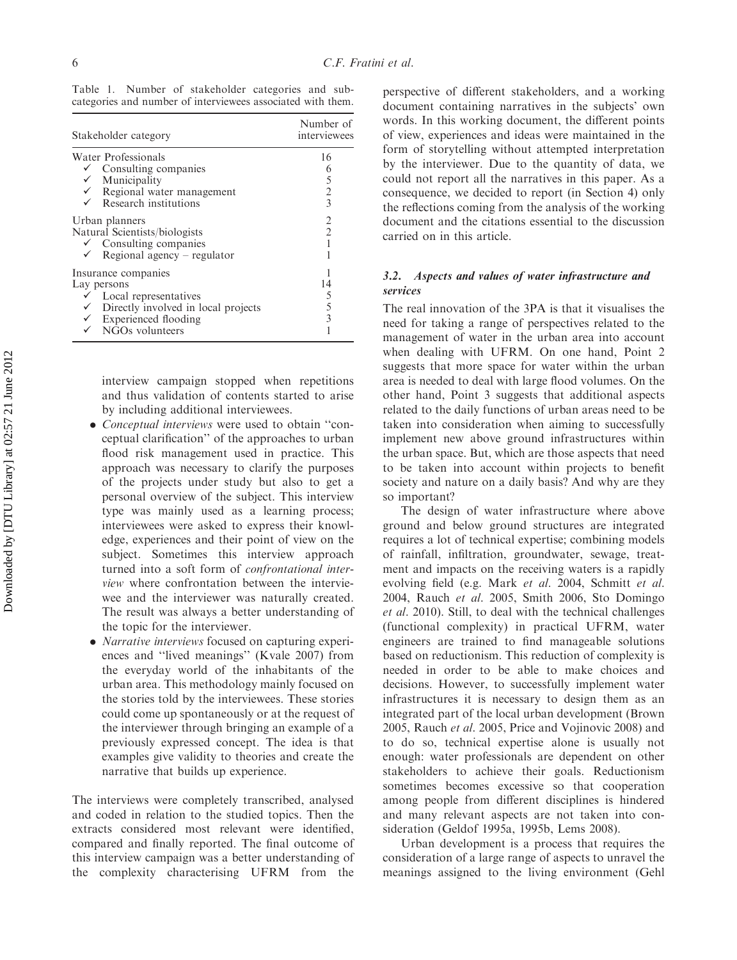Table 1. Number of stakeholder categories and subcategories and number of interviewees associated with them.

| Stakeholder category                                                                                                                                                                 | Number of<br>interviewees<br>16<br>6<br>5<br>$\overline{2}$<br>$\overline{3}$ |
|--------------------------------------------------------------------------------------------------------------------------------------------------------------------------------------|-------------------------------------------------------------------------------|
| Water Professionals<br>$\checkmark$ Consulting companies<br>$\checkmark$ Municipality<br>$\checkmark$ Regional water management<br>$\checkmark$ Research institutions                |                                                                               |
| Urban planners<br>Natural Scientists/biologists<br>$\checkmark$ Consulting companies<br>$\checkmark$ Regional agency – regulator                                                     | 2<br>$\overline{2}$                                                           |
| Insurance companies<br>Lay persons<br>$\checkmark$ Local representatives<br>$\checkmark$ Directly involved in local projects<br>$\checkmark$ Experienced flooding<br>NGOs volunteers | 14<br>5<br>5<br>$\overline{3}$                                                |

interview campaign stopped when repetitions and thus validation of contents started to arise by including additional interviewees.

- . Conceptual interviews were used to obtain ''conceptual clarification'' of the approaches to urban flood risk management used in practice. This approach was necessary to clarify the purposes of the projects under study but also to get a personal overview of the subject. This interview type was mainly used as a learning process; interviewees were asked to express their knowledge, experiences and their point of view on the subject. Sometimes this interview approach turned into a soft form of confrontational interview where confrontation between the interviewee and the interviewer was naturally created. The result was always a better understanding of the topic for the interviewer.
- . Narrative interviews focused on capturing experiences and ''lived meanings'' (Kvale 2007) from the everyday world of the inhabitants of the urban area. This methodology mainly focused on the stories told by the interviewees. These stories could come up spontaneously or at the request of the interviewer through bringing an example of a previously expressed concept. The idea is that examples give validity to theories and create the narrative that builds up experience.

The interviews were completely transcribed, analysed and coded in relation to the studied topics. Then the extracts considered most relevant were identified, compared and finally reported. The final outcome of this interview campaign was a better understanding of the complexity characterising UFRM from the

perspective of different stakeholders, and a working document containing narratives in the subjects' own words. In this working document, the different points of view, experiences and ideas were maintained in the form of storytelling without attempted interpretation by the interviewer. Due to the quantity of data, we could not report all the narratives in this paper. As a consequence, we decided to report (in Section 4) only the reflections coming from the analysis of the working document and the citations essential to the discussion carried on in this article.

## 3.2. Aspects and values of water infrastructure and services

The real innovation of the 3PA is that it visualises the need for taking a range of perspectives related to the management of water in the urban area into account when dealing with UFRM. On one hand, Point 2 suggests that more space for water within the urban area is needed to deal with large flood volumes. On the other hand, Point 3 suggests that additional aspects related to the daily functions of urban areas need to be taken into consideration when aiming to successfully implement new above ground infrastructures within the urban space. But, which are those aspects that need to be taken into account within projects to benefit society and nature on a daily basis? And why are they so important?

The design of water infrastructure where above ground and below ground structures are integrated requires a lot of technical expertise; combining models of rainfall, infiltration, groundwater, sewage, treatment and impacts on the receiving waters is a rapidly evolving field (e.g. Mark et al. 2004, Schmitt et al. 2004, Rauch et al. 2005, Smith 2006, Sto Domingo et al. 2010). Still, to deal with the technical challenges (functional complexity) in practical UFRM, water engineers are trained to find manageable solutions based on reductionism. This reduction of complexity is needed in order to be able to make choices and decisions. However, to successfully implement water infrastructures it is necessary to design them as an integrated part of the local urban development (Brown 2005, Rauch et al. 2005, Price and Vojinovic 2008) and to do so, technical expertise alone is usually not enough: water professionals are dependent on other stakeholders to achieve their goals. Reductionism sometimes becomes excessive so that cooperation among people from different disciplines is hindered and many relevant aspects are not taken into consideration (Geldof 1995a, 1995b, Lems 2008).

Urban development is a process that requires the consideration of a large range of aspects to unravel the meanings assigned to the living environment (Gehl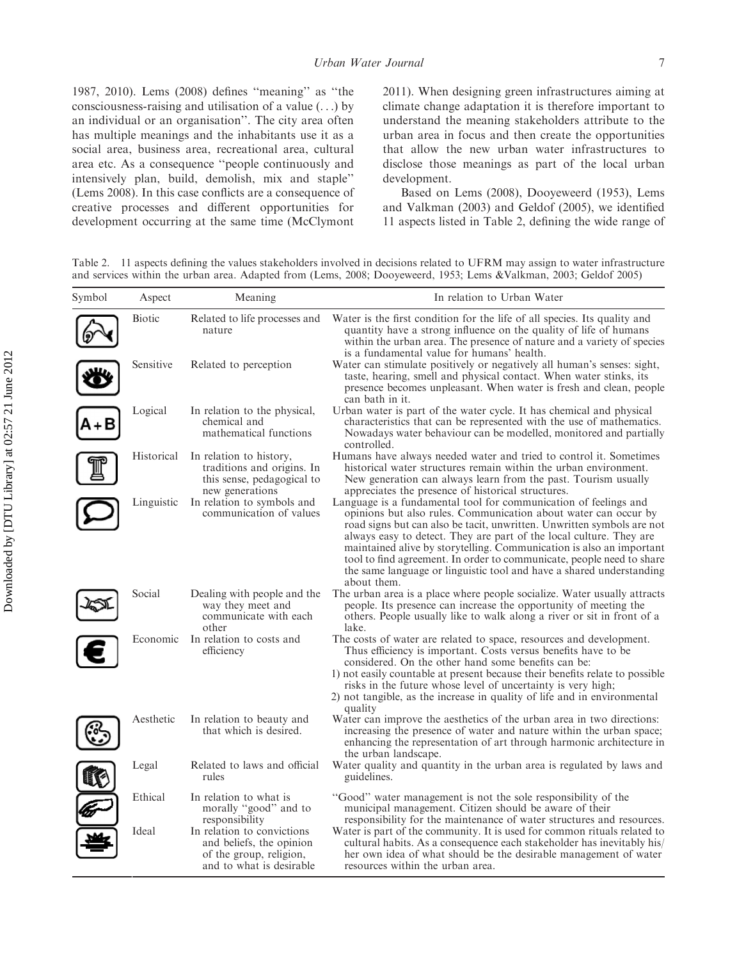1987, 2010). Lems (2008) defines ''meaning'' as ''the consciousness-raising and utilisation of a value (. . .) by an individual or an organisation''. The city area often has multiple meanings and the inhabitants use it as a social area, business area, recreational area, cultural area etc. As a consequence ''people continuously and intensively plan, build, demolish, mix and staple'' (Lems 2008). In this case conflicts are a consequence of creative processes and different opportunities for development occurring at the same time (McClymont 2011). When designing green infrastructures aiming at climate change adaptation it is therefore important to understand the meaning stakeholders attribute to the urban area in focus and then create the opportunities that allow the new urban water infrastructures to disclose those meanings as part of the local urban development.

Based on Lems (2008), Dooyeweerd (1953), Lems and Valkman (2003) and Geldof (2005), we identified 11 aspects listed in Table 2, defining the wide range of

Table 2. 11 aspects defining the values stakeholders involved in decisions related to UFRM may assign to water infrastructure and services within the urban area. Adapted from (Lems, 2008; Dooyeweerd, 1953; Lems &Valkman, 2003; Geldof 2005)

| Symbol | Aspect     | Meaning                                                                                                       | In relation to Urban Water                                                                                                                                                                                                                                                                                                                                                                                                                                                                                                   |
|--------|------------|---------------------------------------------------------------------------------------------------------------|------------------------------------------------------------------------------------------------------------------------------------------------------------------------------------------------------------------------------------------------------------------------------------------------------------------------------------------------------------------------------------------------------------------------------------------------------------------------------------------------------------------------------|
|        | Biotic     | Related to life processes and<br>nature                                                                       | Water is the first condition for the life of all species. Its quality and<br>quantity have a strong influence on the quality of life of humans<br>within the urban area. The presence of nature and a variety of species<br>is a fundamental value for humans' health.                                                                                                                                                                                                                                                       |
|        | Sensitive  | Related to perception                                                                                         | Water can stimulate positively or negatively all human's senses: sight,<br>taste, hearing, smell and physical contact. When water stinks, its<br>presence becomes unpleasant. When water is fresh and clean, people<br>can bath in it.                                                                                                                                                                                                                                                                                       |
|        | Logical    | In relation to the physical,<br>chemical and<br>mathematical functions                                        | Urban water is part of the water cycle. It has chemical and physical<br>characteristics that can be represented with the use of mathematics.<br>Nowadays water behaviour can be modelled, monitored and partially<br>controlled.                                                                                                                                                                                                                                                                                             |
|        | Historical | In relation to history,<br>traditions and origins. In<br>this sense, pedagogical to<br>new generations        | Humans have always needed water and tried to control it. Sometimes<br>historical water structures remain within the urban environment.<br>New generation can always learn from the past. Tourism usually<br>appreciates the presence of historical structures.                                                                                                                                                                                                                                                               |
|        | Linguistic | In relation to symbols and<br>communication of values                                                         | Language is a fundamental tool for communication of feelings and<br>opinions but also rules. Communication about water can occur by<br>road signs but can also be tacit, unwritten. Unwritten symbols are not<br>always easy to detect. They are part of the local culture. They are<br>maintained alive by storytelling. Communication is also an important<br>tool to find agreement. In order to communicate, people need to share<br>the same language or linguistic tool and have a shared understanding<br>about them. |
|        | Social     | Dealing with people and the<br>way they meet and<br>communicate with each<br>other                            | The urban area is a place where people socialize. Water usually attracts<br>people. Its presence can increase the opportunity of meeting the<br>others. People usually like to walk along a river or sit in front of a<br>lake.                                                                                                                                                                                                                                                                                              |
|        | Economic   | In relation to costs and<br>efficiency                                                                        | The costs of water are related to space, resources and development.<br>Thus efficiency is important. Costs versus benefits have to be<br>considered. On the other hand some benefits can be:<br>1) not easily countable at present because their benefits relate to possible<br>risks in the future whose level of uncertainty is very high;<br>2) not tangible, as the increase in quality of life and in environmental<br>quality                                                                                          |
|        | Aesthetic  | In relation to beauty and<br>that which is desired.                                                           | Water can improve the aesthetics of the urban area in two directions:<br>increasing the presence of water and nature within the urban space;<br>enhancing the representation of art through harmonic architecture in<br>the urban landscape.                                                                                                                                                                                                                                                                                 |
|        | Legal      | Related to laws and official<br>rules                                                                         | Water quality and quantity in the urban area is regulated by laws and<br>guidelines.                                                                                                                                                                                                                                                                                                                                                                                                                                         |
|        | Ethical    | In relation to what is<br>morally "good" and to<br>responsibility                                             | "Good" water management is not the sole responsibility of the<br>municipal management. Citizen should be aware of their<br>responsibility for the maintenance of water structures and resources.                                                                                                                                                                                                                                                                                                                             |
|        | Ideal      | In relation to convictions<br>and beliefs, the opinion<br>of the group, religion,<br>and to what is desirable | Water is part of the community. It is used for common rituals related to<br>cultural habits. As a consequence each stakeholder has inevitably his<br>her own idea of what should be the desirable management of water<br>resources within the urban area.                                                                                                                                                                                                                                                                    |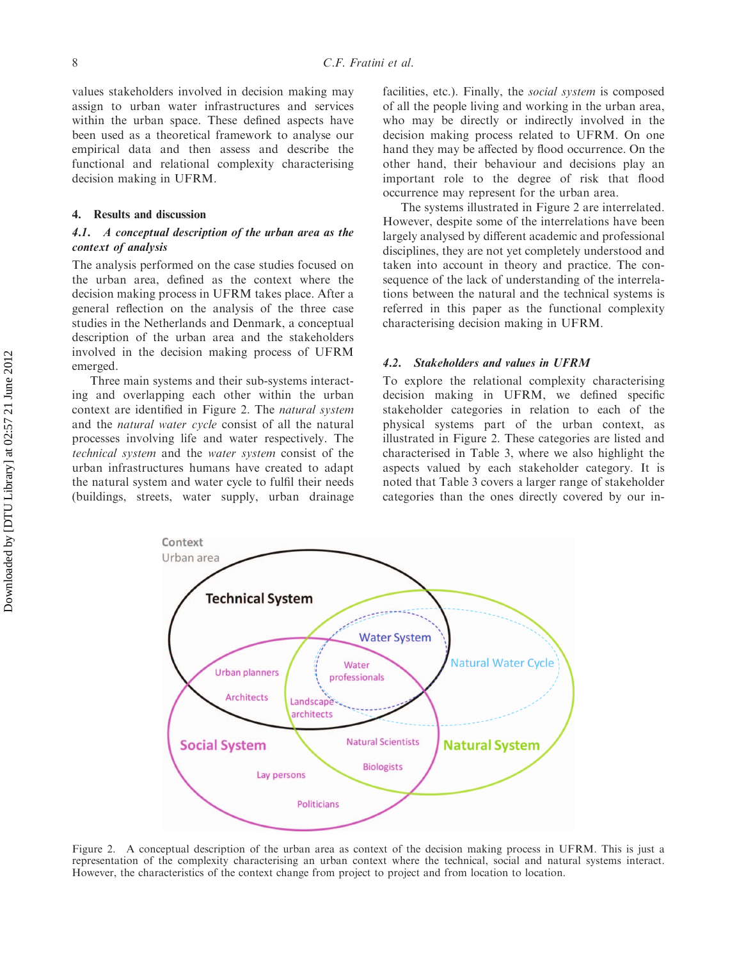values stakeholders involved in decision making may assign to urban water infrastructures and services within the urban space. These defined aspects have been used as a theoretical framework to analyse our empirical data and then assess and describe the functional and relational complexity characterising decision making in UFRM.

## 4. Results and discussion

## 4.1. A conceptual description of the urban area as the context of analysis

The analysis performed on the case studies focused on the urban area, defined as the context where the decision making process in UFRM takes place. After a general reflection on the analysis of the three case studies in the Netherlands and Denmark, a conceptual description of the urban area and the stakeholders involved in the decision making process of UFRM emerged.

Three main systems and their sub-systems interacting and overlapping each other within the urban context are identified in Figure 2. The natural system and the natural water cycle consist of all the natural processes involving life and water respectively. The technical system and the water system consist of the urban infrastructures humans have created to adapt the natural system and water cycle to fulfil their needs (buildings, streets, water supply, urban drainage

facilities, etc.). Finally, the *social system* is composed of all the people living and working in the urban area, who may be directly or indirectly involved in the decision making process related to UFRM. On one hand they may be affected by flood occurrence. On the other hand, their behaviour and decisions play an important role to the degree of risk that flood occurrence may represent for the urban area.

The systems illustrated in Figure 2 are interrelated. However, despite some of the interrelations have been largely analysed by different academic and professional disciplines, they are not yet completely understood and taken into account in theory and practice. The consequence of the lack of understanding of the interrelations between the natural and the technical systems is referred in this paper as the functional complexity characterising decision making in UFRM.

## 4.2. Stakeholders and values in UFRM

To explore the relational complexity characterising decision making in UFRM, we defined specific stakeholder categories in relation to each of the physical systems part of the urban context, as illustrated in Figure 2. These categories are listed and characterised in Table 3, where we also highlight the aspects valued by each stakeholder category. It is noted that Table 3 covers a larger range of stakeholder categories than the ones directly covered by our in-



Figure 2. A conceptual description of the urban area as context of the decision making process in UFRM. This is just a representation of the complexity characterising an urban context where the technical, social and natural systems interact. However, the characteristics of the context change from project to project and from location to location.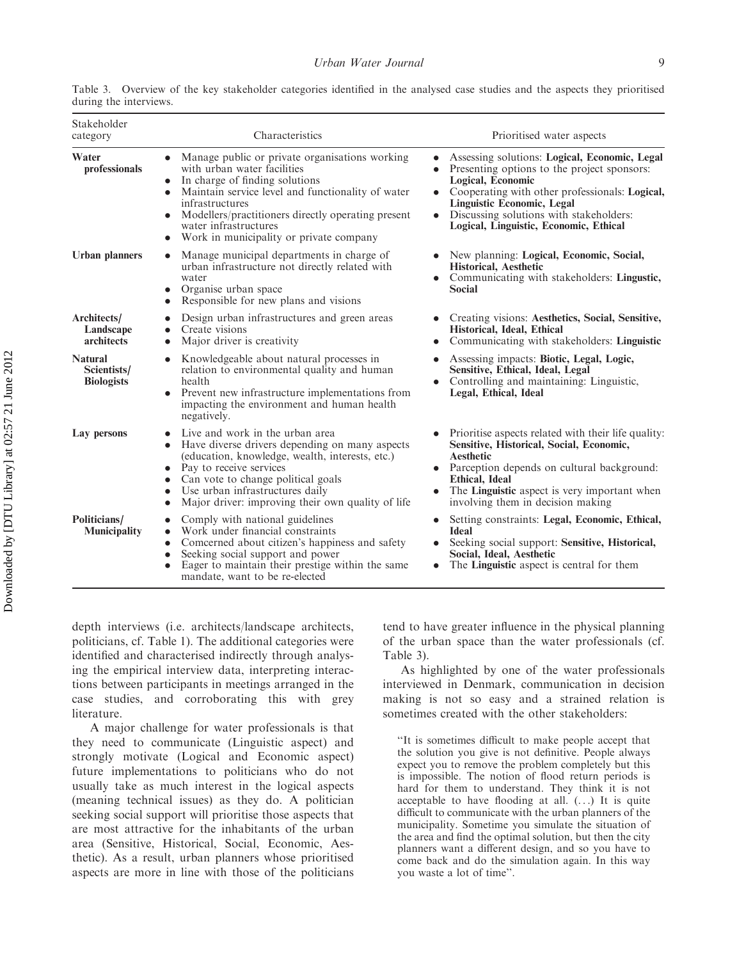| Stakeholder<br>category                            | Characteristics                                                                                                                                                                                                                                                                                                                                                | Prioritised water aspects                                                                                                                                                                                                                                                                                    |
|----------------------------------------------------|----------------------------------------------------------------------------------------------------------------------------------------------------------------------------------------------------------------------------------------------------------------------------------------------------------------------------------------------------------------|--------------------------------------------------------------------------------------------------------------------------------------------------------------------------------------------------------------------------------------------------------------------------------------------------------------|
| Water<br>professionals                             | • Manage public or private organisations working<br>with urban water facilities<br>In charge of finding solutions<br>$\bullet$<br>Maintain service level and functionality of water<br>$\bullet$<br>infrastructures<br>Modellers/practitioners directly operating present<br>water infrastructures<br>Work in municipality or private company<br>$\bullet$     | Assessing solutions: Logical, Economic, Legal<br>$\bullet$<br>Presenting options to the project sponsors:<br>Logical, Economic<br>• Cooperating with other professionals: Logical,<br><b>Linguistic Economic, Legal</b><br>Discussing solutions with stakeholders:<br>Logical, Linguistic, Economic, Ethical |
| <b>Urban planners</b>                              | Manage municipal departments in charge of<br>urban infrastructure not directly related with<br>water<br>Organise urban space<br>Responsible for new plans and visions<br>$\bullet$                                                                                                                                                                             | • New planning: Logical, Economic, Social,<br><b>Historical, Aesthetic</b><br>• Communicating with stakeholders: Lingustic,<br><b>Social</b>                                                                                                                                                                 |
| Architects/<br>Landscape<br>architects             | Design urban infrastructures and green areas<br>Create visions<br>Major driver is creativity<br>$\bullet$                                                                                                                                                                                                                                                      | Creating visions: Aesthetics, Social, Sensitive,<br>Historical, Ideal, Ethical<br>Communicating with stakeholders: Linguistic                                                                                                                                                                                |
| <b>Natural</b><br>Scientists/<br><b>Biologists</b> | Knowledgeable about natural processes in<br>$\bullet$<br>relation to environmental quality and human<br>health<br>Prevent new infrastructure implementations from<br>$\bullet$<br>impacting the environment and human health<br>negatively.                                                                                                                    | Assessing impacts: Biotic, Legal, Logic,<br>Sensitive, Ethical, Ideal, Legal<br>Controlling and maintaining: Linguistic,<br>Legal, Ethical, Ideal                                                                                                                                                            |
| Lay persons                                        | Live and work in the urban area<br>Have diverse drivers depending on many aspects<br>$\bullet$<br>(education, knowledge, wealth, interests, etc.)<br>Pay to receive services<br>$\bullet$<br>Can vote to change political goals<br>$\bullet$<br>Use urban infrastructures daily<br>$\bullet$<br>Major driver: improving their own quality of life<br>$\bullet$ | Prioritise aspects related with their life quality.<br>Sensitive, Historical, Social, Economic,<br><b>Aesthetic</b><br>• Parception depends on cultural background:<br><b>Ethical, Ideal</b><br>The <b>Linguistic</b> aspect is very important when<br>involving them in decision making                     |
| Politicians/<br><b>Municipality</b>                | Comply with national guidelines<br>$\bullet$<br>Work under financial constraints<br>$\bullet$<br>Comcerned about citizen's happiness and safety<br>$\bullet$<br>Seeking social support and power<br>$\bullet$<br>Eager to maintain their prestige within the same<br>$\bullet$<br>mandate, want to be re-elected                                               | Setting constraints: Legal, Economic, Ethical,<br><b>Ideal</b><br>Seeking social support: Sensitive, Historical,<br>Social, Ideal, Aesthetic<br>The <b>Linguistic</b> aspect is central for them                                                                                                             |

Table 3. Overview of the key stakeholder categories identified in the analysed case studies and the aspects they prioritised during the interviews.

depth interviews (i.e. architects/landscape architects, politicians, cf. Table 1). The additional categories were identified and characterised indirectly through analysing the empirical interview data, interpreting interactions between participants in meetings arranged in the case studies, and corroborating this with grey literature.

A major challenge for water professionals is that they need to communicate (Linguistic aspect) and strongly motivate (Logical and Economic aspect) future implementations to politicians who do not usually take as much interest in the logical aspects (meaning technical issues) as they do. A politician seeking social support will prioritise those aspects that are most attractive for the inhabitants of the urban area (Sensitive, Historical, Social, Economic, Aesthetic). As a result, urban planners whose prioritised aspects are more in line with those of the politicians tend to have greater influence in the physical planning of the urban space than the water professionals (cf. Table 3).

As highlighted by one of the water professionals interviewed in Denmark, communication in decision making is not so easy and a strained relation is sometimes created with the other stakeholders:

''It is sometimes difficult to make people accept that the solution you give is not definitive. People always expect you to remove the problem completely but this is impossible. The notion of flood return periods is hard for them to understand. They think it is not acceptable to have flooding at all.  $( \ldots )$  It is quite difficult to communicate with the urban planners of the municipality. Sometime you simulate the situation of the area and find the optimal solution, but then the city planners want a different design, and so you have to come back and do the simulation again. In this way you waste a lot of time''.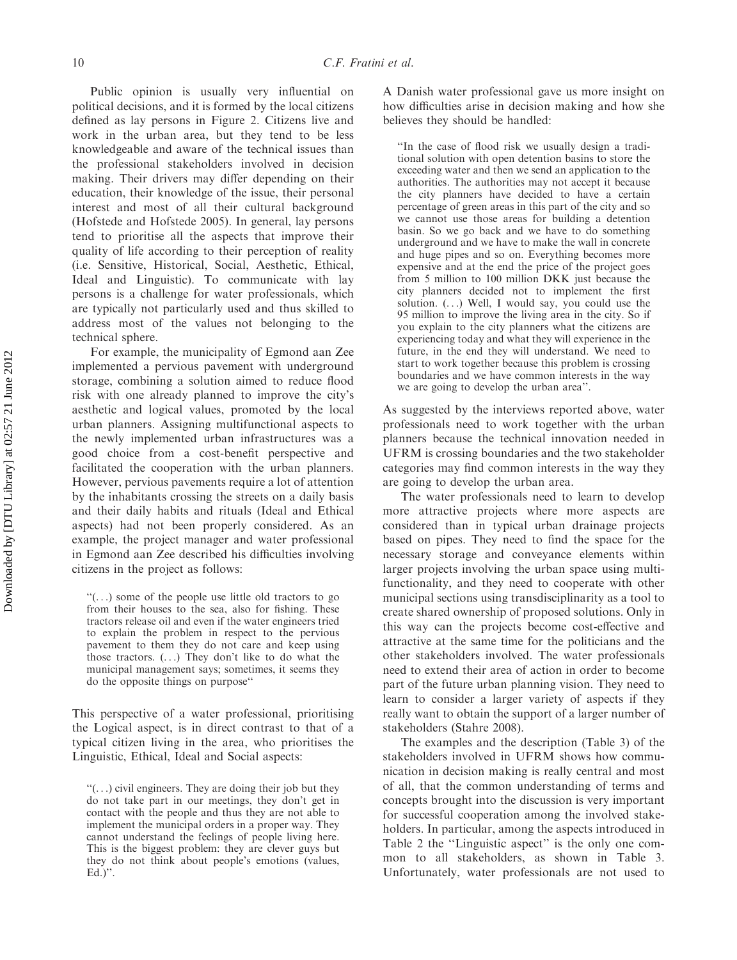Public opinion is usually very influential on political decisions, and it is formed by the local citizens defined as lay persons in Figure 2. Citizens live and work in the urban area, but they tend to be less knowledgeable and aware of the technical issues than the professional stakeholders involved in decision making. Their drivers may differ depending on their education, their knowledge of the issue, their personal interest and most of all their cultural background (Hofstede and Hofstede 2005). In general, lay persons tend to prioritise all the aspects that improve their quality of life according to their perception of reality (i.e. Sensitive, Historical, Social, Aesthetic, Ethical, Ideal and Linguistic). To communicate with lay persons is a challenge for water professionals, which are typically not particularly used and thus skilled to address most of the values not belonging to the

For example, the municipality of Egmond aan Zee implemented a pervious pavement with underground storage, combining a solution aimed to reduce flood risk with one already planned to improve the city's aesthetic and logical values, promoted by the local urban planners. Assigning multifunctional aspects to the newly implemented urban infrastructures was a good choice from a cost-benefit perspective and facilitated the cooperation with the urban planners. However, pervious pavements require a lot of attention by the inhabitants crossing the streets on a daily basis and their daily habits and rituals (Ideal and Ethical aspects) had not been properly considered. As an example, the project manager and water professional in Egmond aan Zee described his difficulties involving citizens in the project as follows:

 $\lq\lq$ ...) some of the people use little old tractors to go from their houses to the sea, also for fishing. These tractors release oil and even if the water engineers tried to explain the problem in respect to the pervious pavement to them they do not care and keep using those tractors.  $( \ldots )$  They don't like to do what the municipal management says; sometimes, it seems they do the opposite things on purpose''

This perspective of a water professional, prioritising the Logical aspect, is in direct contrast to that of a typical citizen living in the area, who prioritises the Linguistic, Ethical, Ideal and Social aspects:

 $"$ (...) civil engineers. They are doing their job but they do not take part in our meetings, they don't get in contact with the people and thus they are not able to implement the municipal orders in a proper way. They cannot understand the feelings of people living here. This is the biggest problem: they are clever guys but they do not think about people's emotions (values, Ed.)''.

A Danish water professional gave us more insight on how difficulties arise in decision making and how she believes they should be handled:

''In the case of flood risk we usually design a traditional solution with open detention basins to store the exceeding water and then we send an application to the authorities. The authorities may not accept it because the city planners have decided to have a certain percentage of green areas in this part of the city and so we cannot use those areas for building a detention basin. So we go back and we have to do something underground and we have to make the wall in concrete and huge pipes and so on. Everything becomes more expensive and at the end the price of the project goes from 5 million to 100 million DKK just because the city planners decided not to implement the first solution.  $( \ldots )$  Well, I would say, you could use the 95 million to improve the living area in the city. So if you explain to the city planners what the citizens are experiencing today and what they will experience in the future, in the end they will understand. We need to start to work together because this problem is crossing boundaries and we have common interests in the way we are going to develop the urban area''.

As suggested by the interviews reported above, water professionals need to work together with the urban planners because the technical innovation needed in UFRM is crossing boundaries and the two stakeholder categories may find common interests in the way they are going to develop the urban area.

The water professionals need to learn to develop more attractive projects where more aspects are considered than in typical urban drainage projects based on pipes. They need to find the space for the necessary storage and conveyance elements within larger projects involving the urban space using multifunctionality, and they need to cooperate with other municipal sections using transdisciplinarity as a tool to create shared ownership of proposed solutions. Only in this way can the projects become cost-effective and attractive at the same time for the politicians and the other stakeholders involved. The water professionals need to extend their area of action in order to become part of the future urban planning vision. They need to learn to consider a larger variety of aspects if they really want to obtain the support of a larger number of stakeholders (Stahre 2008).

The examples and the description (Table 3) of the stakeholders involved in UFRM shows how communication in decision making is really central and most of all, that the common understanding of terms and concepts brought into the discussion is very important for successful cooperation among the involved stakeholders. In particular, among the aspects introduced in Table 2 the ''Linguistic aspect'' is the only one common to all stakeholders, as shown in Table 3. Unfortunately, water professionals are not used to

technical sphere.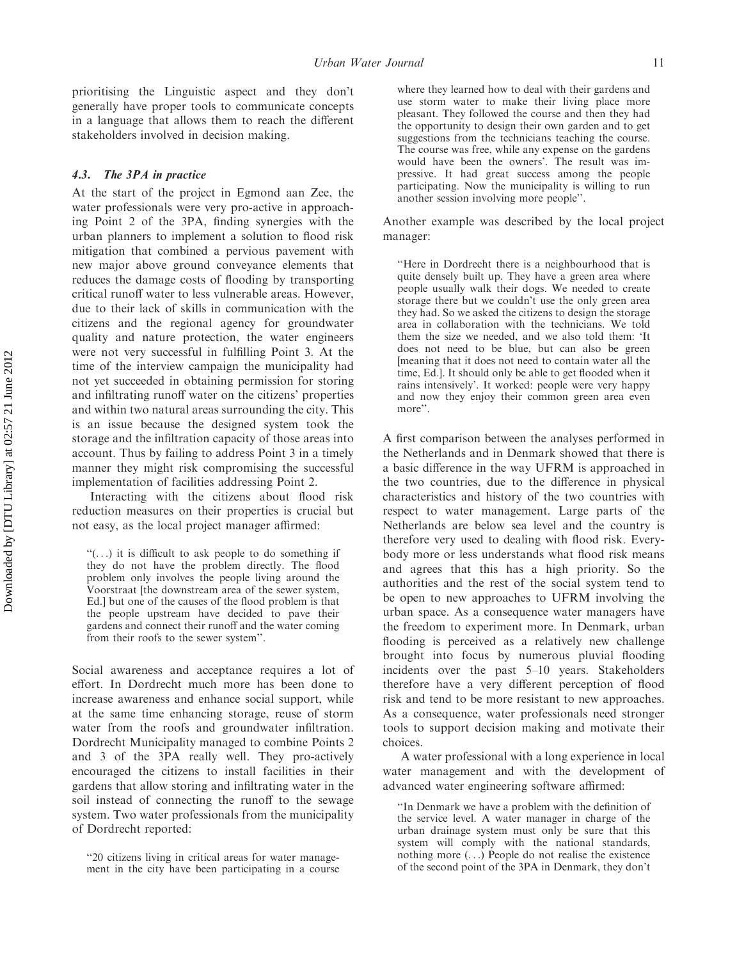prioritising the Linguistic aspect and they don't generally have proper tools to communicate concepts in a language that allows them to reach the different stakeholders involved in decision making.

## 4.3. The 3PA in practice

At the start of the project in Egmond aan Zee, the water professionals were very pro-active in approaching Point 2 of the 3PA, finding synergies with the urban planners to implement a solution to flood risk mitigation that combined a pervious pavement with new major above ground conveyance elements that reduces the damage costs of flooding by transporting critical runoff water to less vulnerable areas. However, due to their lack of skills in communication with the citizens and the regional agency for groundwater quality and nature protection, the water engineers were not very successful in fulfilling Point 3. At the time of the interview campaign the municipality had not yet succeeded in obtaining permission for storing and infiltrating runoff water on the citizens' properties and within two natural areas surrounding the city. This is an issue because the designed system took the storage and the infiltration capacity of those areas into account. Thus by failing to address Point 3 in a timely manner they might risk compromising the successful implementation of facilities addressing Point 2.

Interacting with the citizens about flood risk reduction measures on their properties is crucial but not easy, as the local project manager affirmed:

''(. . .) it is difficult to ask people to do something if they do not have the problem directly. The flood problem only involves the people living around the Voorstraat [the downstream area of the sewer system, Ed.] but one of the causes of the flood problem is that the people upstream have decided to pave their gardens and connect their runoff and the water coming from their roofs to the sewer system''.

Social awareness and acceptance requires a lot of effort. In Dordrecht much more has been done to increase awareness and enhance social support, while at the same time enhancing storage, reuse of storm water from the roofs and groundwater infiltration. Dordrecht Municipality managed to combine Points 2 and 3 of the 3PA really well. They pro-actively encouraged the citizens to install facilities in their gardens that allow storing and infiltrating water in the soil instead of connecting the runoff to the sewage system. Two water professionals from the municipality of Dordrecht reported:

where they learned how to deal with their gardens and use storm water to make their living place more pleasant. They followed the course and then they had the opportunity to design their own garden and to get suggestions from the technicians teaching the course. The course was free, while any expense on the gardens would have been the owners'. The result was impressive. It had great success among the people participating. Now the municipality is willing to run another session involving more people''.

Another example was described by the local project manager:

''Here in Dordrecht there is a neighbourhood that is quite densely built up. They have a green area where people usually walk their dogs. We needed to create storage there but we couldn't use the only green area they had. So we asked the citizens to design the storage area in collaboration with the technicians. We told them the size we needed, and we also told them: 'It does not need to be blue, but can also be green [meaning that it does not need to contain water all the time, Ed.]. It should only be able to get flooded when it rains intensively'. It worked: people were very happy and now they enjoy their common green area even more".

A first comparison between the analyses performed in the Netherlands and in Denmark showed that there is a basic difference in the way UFRM is approached in the two countries, due to the difference in physical characteristics and history of the two countries with respect to water management. Large parts of the Netherlands are below sea level and the country is therefore very used to dealing with flood risk. Everybody more or less understands what flood risk means and agrees that this has a high priority. So the authorities and the rest of the social system tend to be open to new approaches to UFRM involving the urban space. As a consequence water managers have the freedom to experiment more. In Denmark, urban flooding is perceived as a relatively new challenge brought into focus by numerous pluvial flooding incidents over the past 5–10 years. Stakeholders therefore have a very different perception of flood risk and tend to be more resistant to new approaches. As a consequence, water professionals need stronger tools to support decision making and motivate their choices.

A water professional with a long experience in local water management and with the development of advanced water engineering software affirmed:

''In Denmark we have a problem with the definition of the service level. A water manager in charge of the urban drainage system must only be sure that this system will comply with the national standards, nothing more (. . .) People do not realise the existence of the second point of the 3PA in Denmark, they don't

<sup>&#</sup>x27;'20 citizens living in critical areas for water management in the city have been participating in a course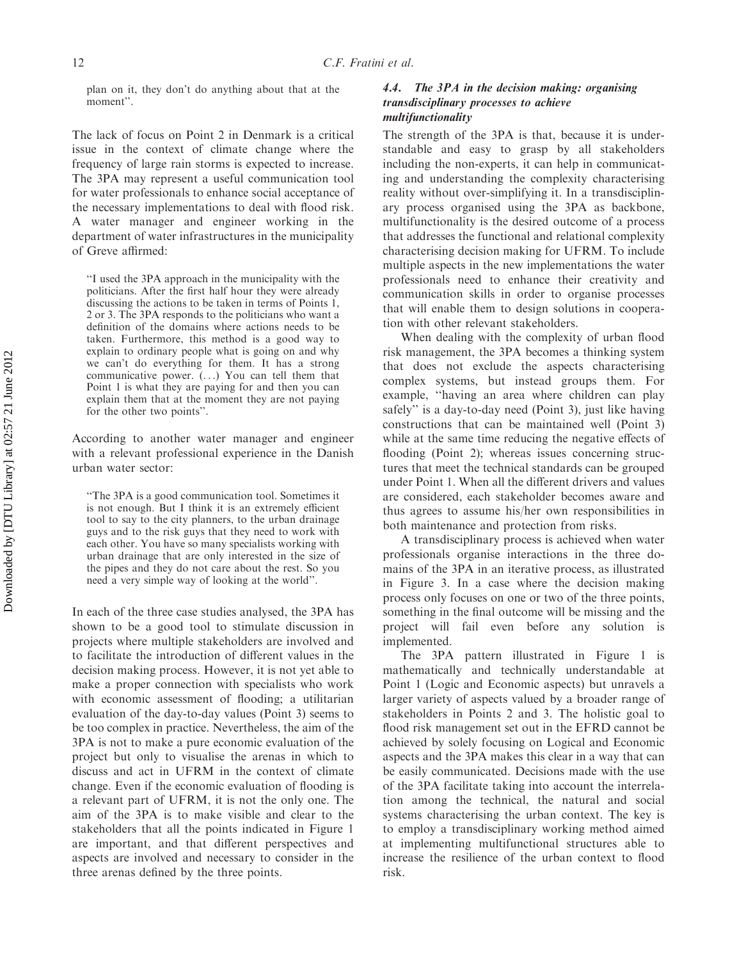plan on it, they don't do anything about that at the moment''.

The lack of focus on Point 2 in Denmark is a critical issue in the context of climate change where the frequency of large rain storms is expected to increase. The 3PA may represent a useful communication tool for water professionals to enhance social acceptance of the necessary implementations to deal with flood risk. A water manager and engineer working in the department of water infrastructures in the municipality of Greve affirmed:

''I used the 3PA approach in the municipality with the politicians. After the first half hour they were already discussing the actions to be taken in terms of Points 1, 2 or 3. The 3PA responds to the politicians who want a definition of the domains where actions needs to be taken. Furthermore, this method is a good way to explain to ordinary people what is going on and why we can't do everything for them. It has a strong communicative power. (. . .) You can tell them that Point 1 is what they are paying for and then you can explain them that at the moment they are not paying for the other two points''.

According to another water manager and engineer with a relevant professional experience in the Danish urban water sector:

''The 3PA is a good communication tool. Sometimes it is not enough. But I think it is an extremely efficient tool to say to the city planners, to the urban drainage guys and to the risk guys that they need to work with each other. You have so many specialists working with urban drainage that are only interested in the size of the pipes and they do not care about the rest. So you need a very simple way of looking at the world''.

In each of the three case studies analysed, the 3PA has shown to be a good tool to stimulate discussion in projects where multiple stakeholders are involved and to facilitate the introduction of different values in the decision making process. However, it is not yet able to make a proper connection with specialists who work with economic assessment of flooding; a utilitarian evaluation of the day-to-day values (Point 3) seems to be too complex in practice. Nevertheless, the aim of the 3PA is not to make a pure economic evaluation of the project but only to visualise the arenas in which to discuss and act in UFRM in the context of climate change. Even if the economic evaluation of flooding is a relevant part of UFRM, it is not the only one. The aim of the 3PA is to make visible and clear to the stakeholders that all the points indicated in Figure 1 are important, and that different perspectives and aspects are involved and necessary to consider in the three arenas defined by the three points.

## 4.4. The 3PA in the decision making: organising transdisciplinary processes to achieve multifunctionality

The strength of the 3PA is that, because it is understandable and easy to grasp by all stakeholders including the non-experts, it can help in communicating and understanding the complexity characterising reality without over-simplifying it. In a transdisciplinary process organised using the 3PA as backbone, multifunctionality is the desired outcome of a process that addresses the functional and relational complexity characterising decision making for UFRM. To include multiple aspects in the new implementations the water professionals need to enhance their creativity and communication skills in order to organise processes that will enable them to design solutions in cooperation with other relevant stakeholders.

When dealing with the complexity of urban flood risk management, the 3PA becomes a thinking system that does not exclude the aspects characterising complex systems, but instead groups them. For example, ''having an area where children can play safely'' is a day-to-day need (Point 3), just like having constructions that can be maintained well (Point 3) while at the same time reducing the negative effects of flooding (Point 2); whereas issues concerning structures that meet the technical standards can be grouped under Point 1. When all the different drivers and values are considered, each stakeholder becomes aware and thus agrees to assume his/her own responsibilities in both maintenance and protection from risks.

A transdisciplinary process is achieved when water professionals organise interactions in the three domains of the 3PA in an iterative process, as illustrated in Figure 3. In a case where the decision making process only focuses on one or two of the three points, something in the final outcome will be missing and the project will fail even before any solution is implemented.

The 3PA pattern illustrated in Figure 1 is mathematically and technically understandable at Point 1 (Logic and Economic aspects) but unravels a larger variety of aspects valued by a broader range of stakeholders in Points 2 and 3. The holistic goal to flood risk management set out in the EFRD cannot be achieved by solely focusing on Logical and Economic aspects and the 3PA makes this clear in a way that can be easily communicated. Decisions made with the use of the 3PA facilitate taking into account the interrelation among the technical, the natural and social systems characterising the urban context. The key is to employ a transdisciplinary working method aimed at implementing multifunctional structures able to increase the resilience of the urban context to flood risk.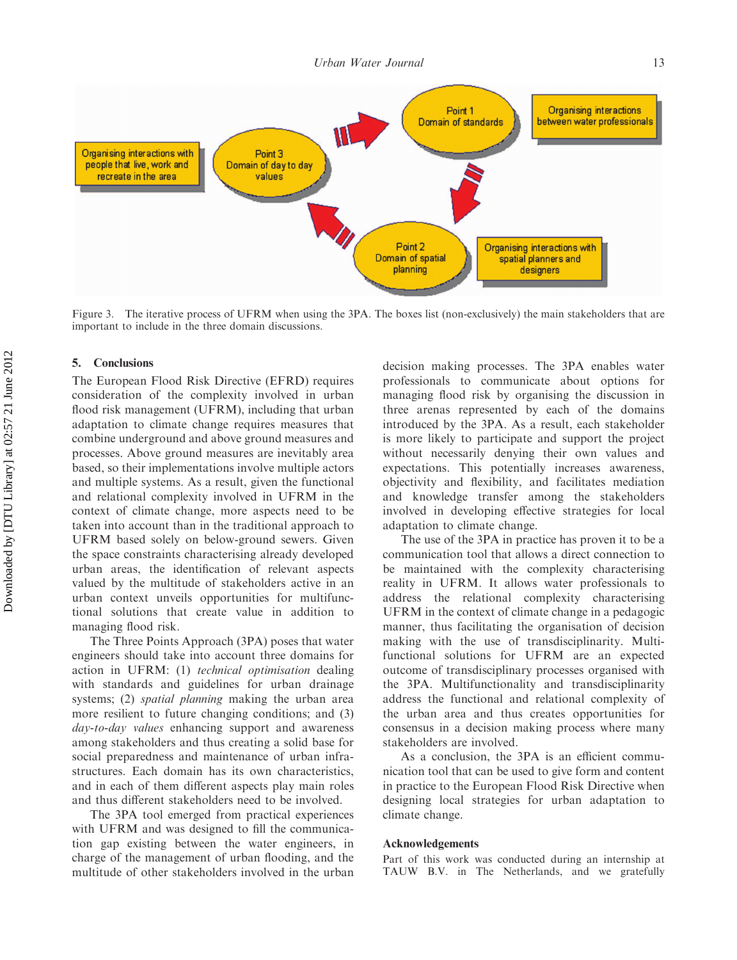**Organising interactions** Point 1 Domain of standards between water professionals Organising interactions with Point 3 people that live, work and Domain of day to day recreate in the area values Point 2 Organising interactions with Domain of spatial spatial planners and planning designers

Figure 3. The iterative process of UFRM when using the 3PA. The boxes list (non-exclusively) the main stakeholders that are important to include in the three domain discussions.

## 5. Conclusions

The European Flood Risk Directive (EFRD) requires consideration of the complexity involved in urban flood risk management (UFRM), including that urban adaptation to climate change requires measures that combine underground and above ground measures and processes. Above ground measures are inevitably area based, so their implementations involve multiple actors and multiple systems. As a result, given the functional and relational complexity involved in UFRM in the context of climate change, more aspects need to be taken into account than in the traditional approach to UFRM based solely on below-ground sewers. Given the space constraints characterising already developed urban areas, the identification of relevant aspects valued by the multitude of stakeholders active in an urban context unveils opportunities for multifunctional solutions that create value in addition to managing flood risk.

The Three Points Approach (3PA) poses that water engineers should take into account three domains for action in UFRM: (1) technical optimisation dealing with standards and guidelines for urban drainage systems; (2) *spatial planning* making the urban area more resilient to future changing conditions; and (3) day-to-day values enhancing support and awareness among stakeholders and thus creating a solid base for social preparedness and maintenance of urban infrastructures. Each domain has its own characteristics, and in each of them different aspects play main roles and thus different stakeholders need to be involved.

The 3PA tool emerged from practical experiences with UFRM and was designed to fill the communication gap existing between the water engineers, in charge of the management of urban flooding, and the multitude of other stakeholders involved in the urban

decision making processes. The 3PA enables water professionals to communicate about options for managing flood risk by organising the discussion in three arenas represented by each of the domains introduced by the 3PA. As a result, each stakeholder is more likely to participate and support the project without necessarily denying their own values and expectations. This potentially increases awareness, objectivity and flexibility, and facilitates mediation and knowledge transfer among the stakeholders involved in developing effective strategies for local adaptation to climate change.

The use of the 3PA in practice has proven it to be a communication tool that allows a direct connection to be maintained with the complexity characterising reality in UFRM. It allows water professionals to address the relational complexity characterising UFRM in the context of climate change in a pedagogic manner, thus facilitating the organisation of decision making with the use of transdisciplinarity. Multifunctional solutions for UFRM are an expected outcome of transdisciplinary processes organised with the 3PA. Multifunctionality and transdisciplinarity address the functional and relational complexity of the urban area and thus creates opportunities for consensus in a decision making process where many stakeholders are involved.

As a conclusion, the 3PA is an efficient communication tool that can be used to give form and content in practice to the European Flood Risk Directive when designing local strategies for urban adaptation to climate change.

#### Acknowledgements

Part of this work was conducted during an internship at TAUW B.V. in The Netherlands, and we gratefully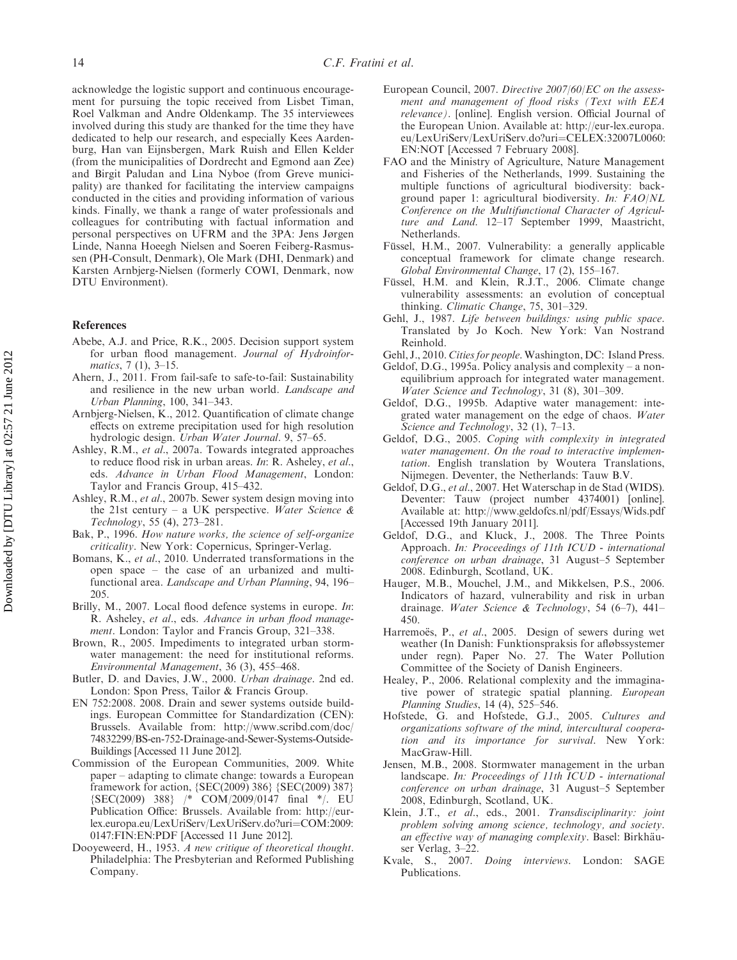acknowledge the logistic support and continuous encouragement for pursuing the topic received from Lisbet Timan, Roel Valkman and Andre Oldenkamp. The 35 interviewees involved during this study are thanked for the time they have dedicated to help our research, and especially Kees Aardenburg, Han van Eijnsbergen, Mark Ruish and Ellen Kelder (from the municipalities of Dordrecht and Egmond aan Zee) and Birgit Paludan and Lina Nyboe (from Greve municipality) are thanked for facilitating the interview campaigns conducted in the cities and providing information of various kinds. Finally, we thank a range of water professionals and colleagues for contributing with factual information and personal perspectives on UFRM and the 3PA: Jens Jørgen Linde, Nanna Hoeegh Nielsen and Soeren Feiberg-Rasmussen (PH-Consult, Denmark), Ole Mark (DHI, Denmark) and Karsten Arnbjerg-Nielsen (formerly COWI, Denmark, now DTU Environment).

#### References

- Abebe, A.J. and Price, R.K., 2005. Decision support system for urban flood management. Journal of Hydroinformatics, 7 (1), 3–15.
- Ahern, J., 2011. From fail-safe to safe-to-fail: Sustainability and resilience in the new urban world. Landscape and Urban Planning, 100, 341–343.
- Arnbjerg-Nielsen, K., 2012. Quantification of climate change effects on extreme precipitation used for high resolution hydrologic design. Urban Water Journal. 9, 57–65.
- Ashley, R.M., et al., 2007a. Towards integrated approaches to reduce flood risk in urban areas. In: R. Asheley, et al., eds. Advance in Urban Flood Management, London: Taylor and Francis Group, 415–432.
- Ashley, R.M., et al., 2007b. Sewer system design moving into the 21st century – a UK perspective. Water Science  $\&$ Technology, 55 (4), 273–281.
- Bak, P., 1996. How nature works, the science of self-organize criticality. New York: Copernicus, Springer-Verlag.
- Bomans, K., et al., 2010. Underrated transformations in the open space – the case of an urbanized and multifunctional area. Landscape and Urban Planning, 94, 196– 205.
- Brilly, M., 2007. Local flood defence systems in europe. In: R. Asheley, et al., eds. Advance in urban flood management. London: Taylor and Francis Group, 321–338.
- Brown, R., 2005. Impediments to integrated urban stormwater management: the need for institutional reforms. Environmental Management, 36 (3), 455–468.
- Butler, D. and Davies, J.W., 2000. Urban drainage. 2nd ed. London: Spon Press, Tailor & Francis Group.
- EN 752:2008. 2008. Drain and sewer systems outside buildings. European Committee for Standardization (CEN): Brussels. Available from: http://www.scribd.com/doc/ 74832299/BS-en-752-Drainage-and-Sewer-Systems-Outside-Buildings [Accessed 11 June 2012].
- Commission of the European Communities, 2009. White paper – adapting to climate change: towards a European framework for action, {SEC(2009) 386} {SEC(2009) 387} {SEC(2009) 388} /\* COM/2009/0147 final \*/. EU Publication Office: Brussels. Available from: http://eurlex.europa.eu/LexUriServ/LexUriServ.do?uri=COM:2009: 0147:FIN:EN:PDF [Accessed 11 June 2012].
- Dooyeweerd, H., 1953. A new critique of theoretical thought. Philadelphia: The Presbyterian and Reformed Publishing Company.
- European Council, 2007. Directive 2007/60/EC on the assessment and management of flood risks (Text with EEA relevance). [online]. English version. Official Journal of the European Union. Available at: [http://eur-lex.europa.](http://eur-lex.europa.eu/LexUriServ/LexUriServ.do?uri=CELEX:32007L0060:EN:NOT) [eu/LexUriServ/LexUriServ.do?uri](http://eur-lex.europa.eu/LexUriServ/LexUriServ.do?uri=CELEX:32007L0060:EN:NOT)=[CELEX:32007L0060:](http://eur-lex.europa.eu/LexUriServ/LexUriServ.do?uri=CELEX:32007L0060:EN:NOT) [EN:NOT](http://eur-lex.europa.eu/LexUriServ/LexUriServ.do?uri=CELEX:32007L0060:EN:NOT) [Accessed 7 February 2008].
- FAO and the Ministry of Agriculture, Nature Management and Fisheries of the Netherlands, 1999. Sustaining the multiple functions of agricultural biodiversity: background paper 1: agricultural biodiversity. In: FAO/NL Conference on the Multifunctional Character of Agriculture and Land. 12–17 September 1999, Maastricht, Netherlands.
- Füssel, H.M., 2007. Vulnerability: a generally applicable conceptual framework for climate change research. Global Environmental Change, 17 (2), 155–167.
- Füssel, H.M. and Klein, R.J.T., 2006. Climate change vulnerability assessments: an evolution of conceptual thinking. Climatic Change, 75, 301–329.
- Gehl, J., 1987. Life between buildings: using public space. Translated by Jo Koch. New York: Van Nostrand Reinhold.
- Gehl, J., 2010. Cities for people. Washington, DC: Island Press.
- Geldof, D.G., 1995a. Policy analysis and complexity a nonequilibrium approach for integrated water management. Water Science and Technology, 31 (8), 301–309.
- Geldof, D.G., 1995b. Adaptive water management: integrated water management on the edge of chaos. Water Science and Technology, 32 (1), 7-13.
- Geldof, D.G., 2005. Coping with complexity in integrated water management. On the road to interactive implementation. English translation by Woutera Translations, Nijmegen. Deventer, the Netherlands: Tauw B.V.
- Geldof, D.G., et al., 2007. Het Waterschap in de Stad (WIDS). Deventer: Tauw (project number 4374001) [online]. Available at:<http://www.geldofcs.nl/pdf/Essays/Wids.pdf> [Accessed 19th January 2011].
- Geldof, D.G., and Kluck, J., 2008. The Three Points Approach. In: Proceedings of 11th ICUD - international conference on urban drainage, 31 August–5 September 2008. Edinburgh, Scotland, UK.
- Hauger, M.B., Mouchel, J.M., and Mikkelsen, P.S., 2006. Indicators of hazard, vulnerability and risk in urban drainage. Water Science & Technology, 54 (6-7), 441-450.
- Harremoës, P., et al., 2005. Design of sewers during wet weather (In Danish: Funktionspraksis for afløbssystemer under regn). Paper No. 27. The Water Pollution Committee of the Society of Danish Engineers.
- Healey, P., 2006. Relational complexity and the immaginative power of strategic spatial planning. European Planning Studies, 14 (4), 525–546.
- Hofstede, G. and Hofstede, G.J., 2005. Cultures and organizations software of the mind, intercultural cooperation and its importance for survival. New York: MacGraw-Hill.
- Jensen, M.B., 2008. Stormwater management in the urban landscape. In: Proceedings of 11th ICUD - international conference on urban drainage, 31 August–5 September 2008, Edinburgh, Scotland, UK.
- Klein, J.T., et al., eds., 2001. Transdisciplinarity: joint problem solving among science, technology, and society. an effective way of managing complexity. Basel: Birkhäuser Verlag, 3–22.
- Kvale, S., 2007. Doing interviews. London: SAGE Publications.